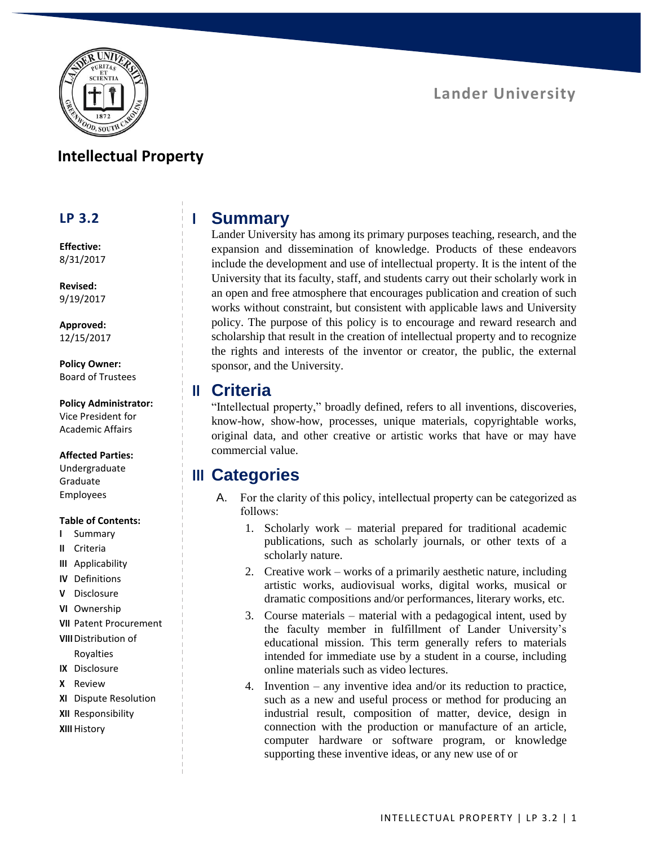

### **Intellectual Property**

### **LP 3.2**

**Effective:** 8/31/2017

**Revised:** 9/19/2017

**Approved:** 12/15/2017

**Policy Owner:** Board of Trustees

**Policy Administrator:** Vice President for Academic Affairs

#### **Affected Parties:**

Undergraduate Graduate Employees

#### **Table of Contents:**

- **I** Summary
- **II** Criteria
- **III** Applicability
- **IV** Definitions
- **V** Disclosure
- **VI** Ownership
- **VII** Patent Procurement
- **VIII**Distribution of

Royalties

- **IX** Disclosure
- **X** Review
- **XI** Dispute Resolution
- **XII** Responsibility
- **XIII** History

# **I Summary**

Lander University has among its primary purposes teaching, research, and the expansion and dissemination of knowledge. Products of these endeavors include the development and use of intellectual property. It is the intent of the University that its faculty, staff, and students carry out their scholarly work in an open and free atmosphere that encourages publication and creation of such works without constraint, but consistent with applicable laws and University policy. The purpose of this policy is to encourage and reward research and scholarship that result in the creation of intellectual property and to recognize the rights and interests of the inventor or creator, the public, the external sponsor, and the University.

### **II Criteria**

"Intellectual property," broadly defined, refers to all inventions, discoveries, know-how, show-how, processes, unique materials, copyrightable works, original data, and other creative or artistic works that have or may have commercial value.

# **III Categories**

- A. For the clarity of this policy, intellectual property can be categorized as follows:
	- 1. Scholarly work material prepared for traditional academic publications, such as scholarly journals, or other texts of a scholarly nature.
	- 2. Creative work works of a primarily aesthetic nature, including artistic works, audiovisual works, digital works, musical or dramatic compositions and/or performances, literary works, etc.
	- 3. Course materials material with a pedagogical intent, used by the faculty member in fulfillment of Lander University's educational mission. This term generally refers to materials intended for immediate use by a student in a course, including online materials such as video lectures.
	- 4. Invention any inventive idea and/or its reduction to practice, such as a new and useful process or method for producing an industrial result, composition of matter, device, design in connection with the production or manufacture of an article, computer hardware or software program, or knowledge supporting these inventive ideas, or any new use of or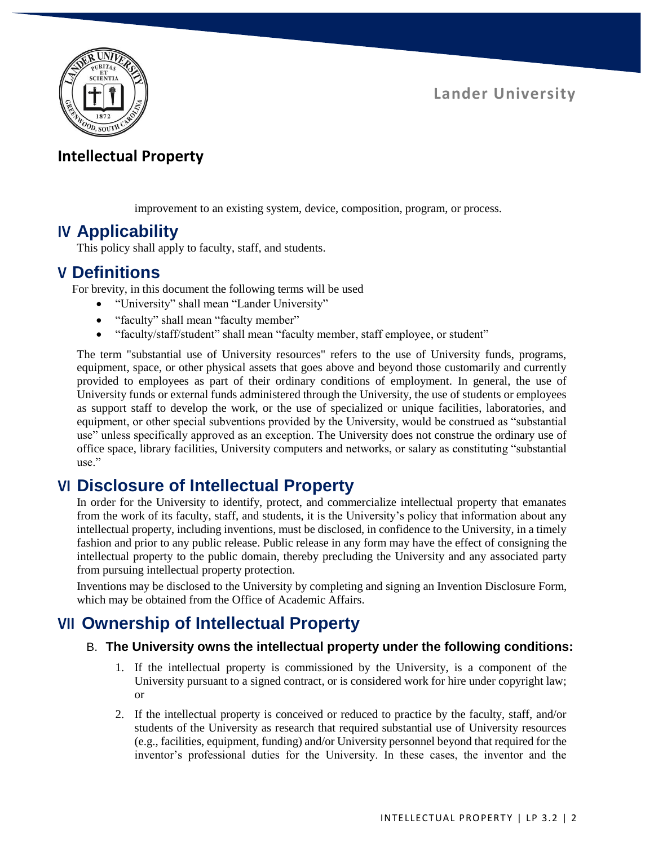

## **Intellectual Property**

improvement to an existing system, device, composition, program, or process.

## **IV Applicability**

This policy shall apply to faculty, staff, and students.

### **V Definitions**

For brevity, in this document the following terms will be used

- "University" shall mean "Lander University"
- "faculty" shall mean "faculty member"
- "faculty/staff/student" shall mean "faculty member, staff employee, or student"

The term "substantial use of University resources" refers to the use of University funds, programs, equipment, space, or other physical assets that goes above and beyond those customarily and currently provided to employees as part of their ordinary conditions of employment. In general, the use of University funds or external funds administered through the University, the use of students or employees as support staff to develop the work, or the use of specialized or unique facilities, laboratories, and equipment, or other special subventions provided by the University, would be construed as "substantial use" unless specifically approved as an exception. The University does not construe the ordinary use of office space, library facilities, University computers and networks, or salary as constituting "substantial use."

# **VI Disclosure of Intellectual Property**

In order for the University to identify, protect, and commercialize intellectual property that emanates from the work of its faculty, staff, and students, it is the University's policy that information about any intellectual property, including inventions, must be disclosed, in confidence to the University, in a timely fashion and prior to any public release. Public release in any form may have the effect of consigning the intellectual property to the public domain, thereby precluding the University and any associated party from pursuing intellectual property protection.

Inventions may be disclosed to the University by completing and signing an Invention Disclosure Form, which may be obtained from the Office of Academic Affairs.

# **VII Ownership of Intellectual Property**

### B. **The University owns the intellectual property under the following conditions:**

- 1. If the intellectual property is commissioned by the University, is a component of the University pursuant to a signed contract, or is considered work for hire under copyright law; or
- 2. If the intellectual property is conceived or reduced to practice by the faculty, staff, and/or students of the University as research that required substantial use of University resources (e.g., facilities, equipment, funding) and/or University personnel beyond that required for the inventor's professional duties for the University. In these cases, the inventor and the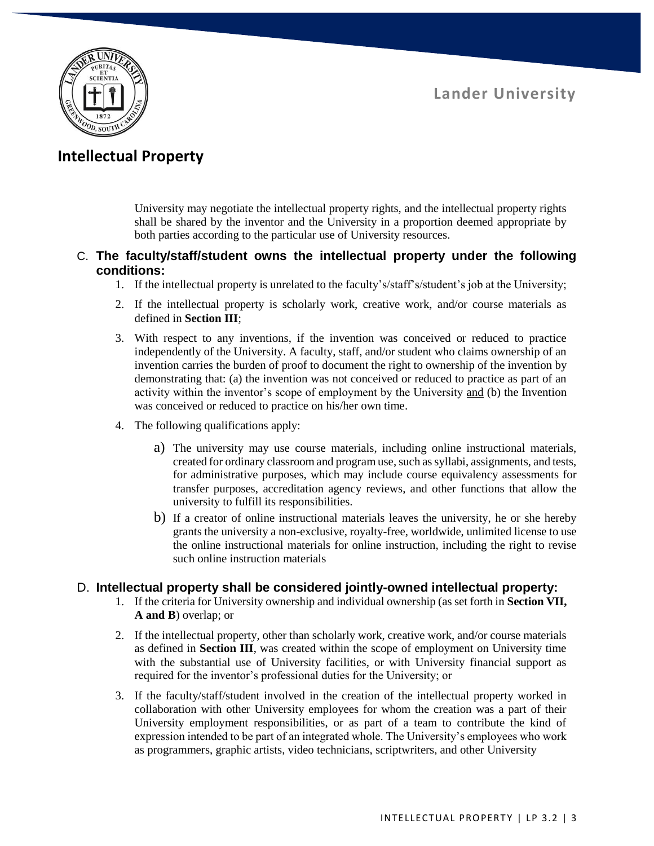

## **Intellectual Property**

University may negotiate the intellectual property rights, and the intellectual property rights shall be shared by the inventor and the University in a proportion deemed appropriate by both parties according to the particular use of University resources.

### C. **The faculty/staff/student owns the intellectual property under the following conditions:**

- 1. If the intellectual property is unrelated to the faculty's/staff's/student's job at the University;
- 2. If the intellectual property is scholarly work, creative work, and/or course materials as defined in **Section III**;
- 3. With respect to any inventions, if the invention was conceived or reduced to practice independently of the University. A faculty, staff, and/or student who claims ownership of an invention carries the burden of proof to document the right to ownership of the invention by demonstrating that: (a) the invention was not conceived or reduced to practice as part of an activity within the inventor's scope of employment by the University and (b) the Invention was conceived or reduced to practice on his/her own time.
- 4. The following qualifications apply:
	- a) The university may use course materials, including online instructional materials, created for ordinary classroom and program use, such as syllabi, assignments, and tests, for administrative purposes, which may include course equivalency assessments for transfer purposes, accreditation agency reviews, and other functions that allow the university to fulfill its responsibilities.
	- b) If a creator of online instructional materials leaves the university, he or she hereby grants the university a non-exclusive, royalty-free, worldwide, unlimited license to use the online instructional materials for online instruction, including the right to revise such online instruction materials

### D. **Intellectual property shall be considered jointly-owned intellectual property:**

- 1. If the criteria for University ownership and individual ownership (as set forth in **Section VII, A and B**) overlap; or
- 2. If the intellectual property, other than scholarly work, creative work, and/or course materials as defined in **Section III**, was created within the scope of employment on University time with the substantial use of University facilities, or with University financial support as required for the inventor's professional duties for the University; or
- 3. If the faculty/staff/student involved in the creation of the intellectual property worked in collaboration with other University employees for whom the creation was a part of their University employment responsibilities, or as part of a team to contribute the kind of expression intended to be part of an integrated whole. The University's employees who work as programmers, graphic artists, video technicians, scriptwriters, and other University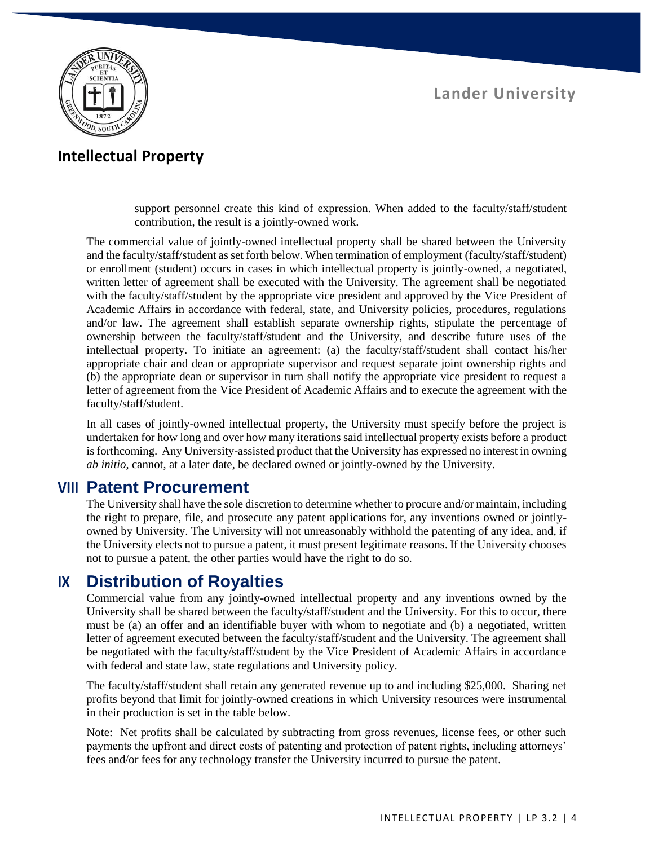

### **Intellectual Property**

support personnel create this kind of expression. When added to the faculty/staff/student contribution, the result is a jointly-owned work.

The commercial value of jointly-owned intellectual property shall be shared between the University and the faculty/staff/student as set forth below. When termination of employment (faculty/staff/student) or enrollment (student) occurs in cases in which intellectual property is jointly-owned, a negotiated, written letter of agreement shall be executed with the University. The agreement shall be negotiated with the faculty/staff/student by the appropriate vice president and approved by the Vice President of Academic Affairs in accordance with federal, state, and University policies, procedures, regulations and/or law. The agreement shall establish separate ownership rights, stipulate the percentage of ownership between the faculty/staff/student and the University, and describe future uses of the intellectual property. To initiate an agreement: (a) the faculty/staff/student shall contact his/her appropriate chair and dean or appropriate supervisor and request separate joint ownership rights and (b) the appropriate dean or supervisor in turn shall notify the appropriate vice president to request a letter of agreement from the Vice President of Academic Affairs and to execute the agreement with the faculty/staff/student.

In all cases of jointly-owned intellectual property, the University must specify before the project is undertaken for how long and over how many iterations said intellectual property exists before a product is forthcoming. Any University-assisted product that the University has expressed no interest in owning *ab initio*, cannot, at a later date, be declared owned or jointly-owned by the University.

### **VIII Patent Procurement**

The University shall have the sole discretion to determine whether to procure and/or maintain, including the right to prepare, file, and prosecute any patent applications for, any inventions owned or jointlyowned by University. The University will not unreasonably withhold the patenting of any idea, and, if the University elects not to pursue a patent, it must present legitimate reasons. If the University chooses not to pursue a patent, the other parties would have the right to do so.

### **IX Distribution of Royalties**

Commercial value from any jointly-owned intellectual property and any inventions owned by the University shall be shared between the faculty/staff/student and the University. For this to occur, there must be (a) an offer and an identifiable buyer with whom to negotiate and (b) a negotiated, written letter of agreement executed between the faculty/staff/student and the University. The agreement shall be negotiated with the faculty/staff/student by the Vice President of Academic Affairs in accordance with federal and state law, state regulations and University policy.

The faculty/staff/student shall retain any generated revenue up to and including \$25,000. Sharing net profits beyond that limit for jointly-owned creations in which University resources were instrumental in their production is set in the table below.

Note: Net profits shall be calculated by subtracting from gross revenues, license fees, or other such payments the upfront and direct costs of patenting and protection of patent rights, including attorneys' fees and/or fees for any technology transfer the University incurred to pursue the patent.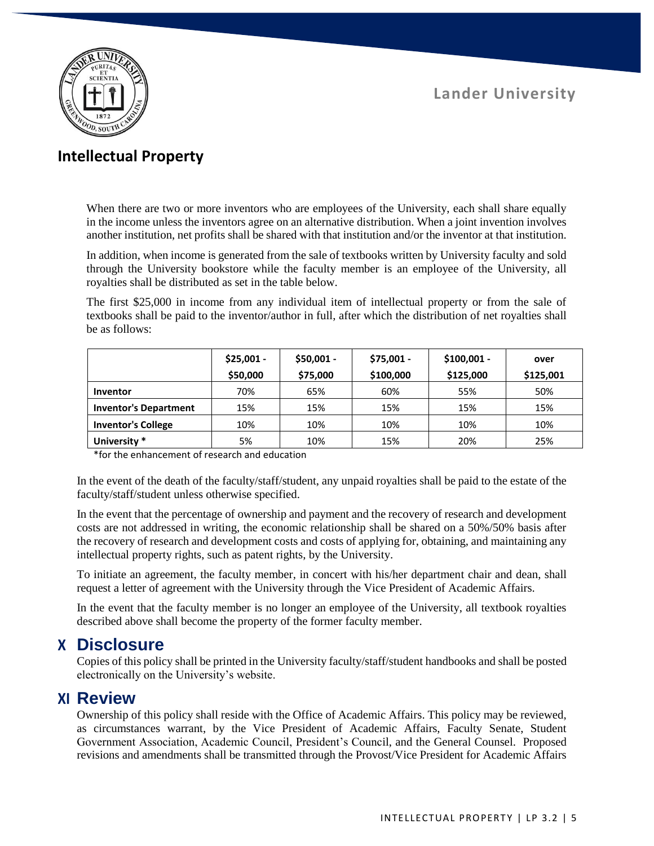

## **Intellectual Property**

When there are two or more inventors who are employees of the University, each shall share equally in the income unless the inventors agree on an alternative distribution. When a joint invention involves another institution, net profits shall be shared with that institution and/or the inventor at that institution.

In addition, when income is generated from the sale of textbooks written by University faculty and sold through the University bookstore while the faculty member is an employee of the University, all royalties shall be distributed as set in the table below.

The first \$25,000 in income from any individual item of intellectual property or from the sale of textbooks shall be paid to the inventor/author in full, after which the distribution of net royalties shall be as follows:

|                              | $$25,001 -$ | $$50,001 -$ | \$75,001 - | $$100,001 -$ | over      |
|------------------------------|-------------|-------------|------------|--------------|-----------|
|                              | \$50,000    | \$75,000    | \$100,000  | \$125,000    | \$125,001 |
| Inventor                     | 70%         | 65%         | 60%        | 55%          | 50%       |
| <b>Inventor's Department</b> | 15%         | 15%         | 15%        | 15%          | 15%       |
| <b>Inventor's College</b>    | 10%         | 10%         | 10%        | 10%          | 10%       |
| University *                 | 5%          | 10%         | 15%        | 20%          | 25%       |

\*for the enhancement of research and education

In the event of the death of the faculty/staff/student, any unpaid royalties shall be paid to the estate of the faculty/staff/student unless otherwise specified.

In the event that the percentage of ownership and payment and the recovery of research and development costs are not addressed in writing, the economic relationship shall be shared on a 50%/50% basis after the recovery of research and development costs and costs of applying for, obtaining, and maintaining any intellectual property rights, such as patent rights, by the University.

To initiate an agreement, the faculty member, in concert with his/her department chair and dean, shall request a letter of agreement with the University through the Vice President of Academic Affairs.

In the event that the faculty member is no longer an employee of the University, all textbook royalties described above shall become the property of the former faculty member.

### **X Disclosure**

Copies of this policy shall be printed in the University faculty/staff/student handbooks and shall be posted electronically on the University's website.

### **XI Review**

Ownership of this policy shall reside with the Office of Academic Affairs. This policy may be reviewed, as circumstances warrant, by the Vice President of Academic Affairs, Faculty Senate, Student Government Association, Academic Council, President's Council, and the General Counsel. Proposed revisions and amendments shall be transmitted through the Provost/Vice President for Academic Affairs